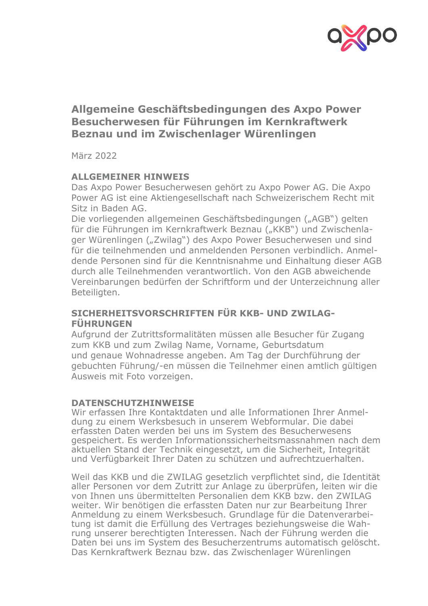

# **Allgemeine Geschäftsbedingungen des Axpo Power Besucherwesen für Führungen im Kernkraftwerk Beznau und im Zwischenlager Würenlingen**

März 2022

## **ALLGEMEINER HINWEIS**

Das Axpo Power Besucherwesen gehört zu Axpo Power AG. Die Axpo Power AG ist eine Aktiengesellschaft nach Schweizerischem Recht mit Sitz in Baden AG.

Die vorliegenden allgemeinen Geschäftsbedingungen ("AGB") gelten für die Führungen im Kernkraftwerk Beznau ("KKB") und Zwischenlager Würenlingen ("Zwilag") des Axpo Power Besucherwesen und sind für die teilnehmenden und anmeldenden Personen verbindlich. Anmeldende Personen sind für die Kenntnisnahme und Einhaltung dieser AGB durch alle Teilnehmenden verantwortlich. Von den AGB abweichende Vereinbarungen bedürfen der Schriftform und der Unterzeichnung aller Beteiligten.

# **SICHERHEITSVORSCHRIFTEN FÜR KKB- UND ZWILAG-FÜHRUNGEN**

Aufgrund der Zutrittsformalitäten müssen alle Besucher für Zugang zum KKB und zum Zwilag Name, Vorname, Geburtsdatum und genaue Wohnadresse angeben. Am Tag der Durchführung der gebuchten Führung/-en müssen die Teilnehmer einen amtlich gültigen Ausweis mit Foto vorzeigen.

#### **DATENSCHUTZHINWEISE**

Wir erfassen Ihre Kontaktdaten und alle Informationen Ihrer Anmeldung zu einem Werksbesuch in unserem Webformular. Die dabei erfassten Daten werden bei uns im System des Besucherwesens gespeichert. Es werden Informationssicherheitsmassnahmen nach dem aktuellen Stand der Technik eingesetzt, um die Sicherheit, Integrität und Verfügbarkeit Ihrer Daten zu schützen und aufrechtzuerhalten.

Weil das KKB und die ZWILAG gesetzlich verpflichtet sind, die Identität aller Personen vor dem Zutritt zur Anlage zu überprüfen, leiten wir die von Ihnen uns übermittelten Personalien dem KKB bzw. den ZWILAG weiter. Wir benötigen die erfassten Daten nur zur Bearbeitung Ihrer Anmeldung zu einem Werksbesuch. Grundlage für die Datenverarbeitung ist damit die Erfüllung des Vertrages beziehungsweise die Wahrung unserer berechtigten Interessen. Nach der Führung werden die Daten bei uns im System des Besucherzentrums automatisch gelöscht. Das Kernkraftwerk Beznau bzw. das Zwischenlager Würenlingen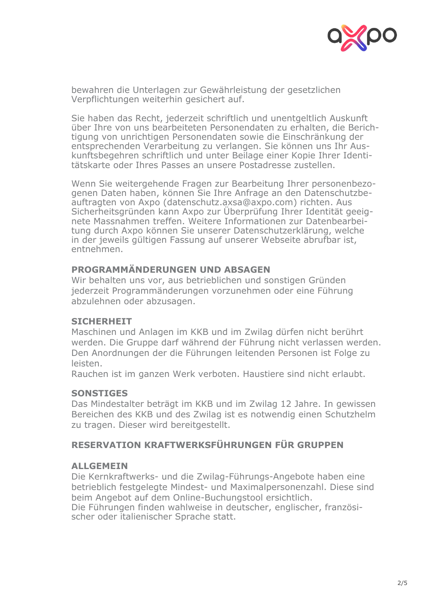

bewahren die Unterlagen zur Gewährleistung der gesetzlichen Verpflichtungen weiterhin gesichert auf.

Sie haben das Recht, jederzeit schriftlich und unentgeltlich Auskunft über Ihre von uns bearbeiteten Personendaten zu erhalten, die Berichtigung von unrichtigen Personendaten sowie die Einschränkung der entsprechenden Verarbeitung zu verlangen. Sie können uns Ihr Auskunftsbegehren schriftlich und unter Beilage einer Kopie Ihrer Identitätskarte oder Ihres Passes an unsere Postadresse zustellen.

Wenn Sie weitergehende Fragen zur Bearbeitung Ihrer personenbezogenen Daten haben, können Sie Ihre Anfrage an den Datenschutzbeauftragten von Axpo (datenschutz.axsa@axpo.com) richten. Aus Sicherheitsgründen kann Axpo zur Überprüfung Ihrer Identität geeignete Massnahmen treffen. Weitere Informationen zur Datenbearbeitung durch Axpo können Sie unserer Datenschutzerklärung, welche in der jeweils gültigen Fassung auf unserer Webseite abrufbar ist, entnehmen.

#### **PROGRAMMÄNDERUNGEN UND ABSAGEN**

Wir behalten uns vor, aus betrieblichen und sonstigen Gründen jederzeit Programmänderungen vorzunehmen oder eine Führung abzulehnen oder abzusagen.

## **SICHERHEIT**

Maschinen und Anlagen im KKB und im Zwilag dürfen nicht berührt werden. Die Gruppe darf während der Führung nicht verlassen werden. Den Anordnungen der die Führungen leitenden Personen ist Folge zu leisten.

Rauchen ist im ganzen Werk verboten. Haustiere sind nicht erlaubt.

#### **SONSTIGES**

Das Mindestalter beträgt im KKB und im Zwilag 12 Jahre. In gewissen Bereichen des KKB und des Zwilag ist es notwendig einen Schutzhelm zu tragen. Dieser wird bereitgestellt.

# **RESERVATION KRAFTWERKSFÜHRUNGEN FÜR GRUPPEN**

#### **ALLGEMEIN**

Die Kernkraftwerks- und die Zwilag-Führungs-Angebote haben eine betrieblich festgelegte Mindest- und Maximalpersonenzahl. Diese sind beim Angebot auf dem Online-Buchungstool ersichtlich.

Die Führungen finden wahlweise in deutscher, englischer, französischer oder italienischer Sprache statt.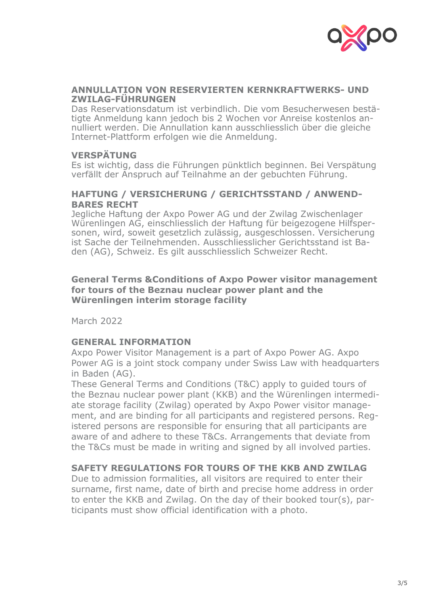

#### **ANNULLATION VON RESERVIERTEN KERNKRAFTWERKS- UND ZWILAG-FÜHRUNGEN**

Das Reservationsdatum ist verbindlich. Die vom Besucherwesen bestätigte Anmeldung kann jedoch bis 2 Wochen vor Anreise kostenlos annulliert werden. Die Annullation kann ausschliesslich über die gleiche Internet-Plattform erfolgen wie die Anmeldung.

#### **VERSPÄTUNG**

Es ist wichtig, dass die Führungen pünktlich beginnen. Bei Verspätung verfällt der Anspruch auf Teilnahme an der gebuchten Führung.

#### **HAFTUNG / VERSICHERUNG / GERICHTSSTAND / ANWEND-BARES RECHT**

Jegliche Haftung der Axpo Power AG und der Zwilag Zwischenlager Würenlingen AG, einschliesslich der Haftung für beigezogene Hilfspersonen, wird, soweit gesetzlich zulässig, ausgeschlossen. Versicherung ist Sache der Teilnehmenden. Ausschliesslicher Gerichtsstand ist Baden (AG), Schweiz. Es gilt ausschliesslich Schweizer Recht.

### **General Terms &Conditions of Axpo Power visitor management for tours of the Beznau nuclear power plant and the Würenlingen interim storage facility**

March 2022

## **GENERAL INFORMATION**

Axpo Power Visitor Management is a part of Axpo Power AG. Axpo Power AG is a joint stock company under Swiss Law with headquarters in Baden (AG).

These General Terms and Conditions (T&C) apply to guided tours of the Beznau nuclear power plant (KKB) and the Würenlingen intermediate storage facility (Zwilag) operated by Axpo Power visitor management, and are binding for all participants and registered persons. Registered persons are responsible for ensuring that all participants are aware of and adhere to these T&Cs. Arrangements that deviate from the T&Cs must be made in writing and signed by all involved parties.

## **SAFETY REGULATIONS FOR TOURS OF THE KKB AND ZWILAG**

Due to admission formalities, all visitors are required to enter their surname, first name, date of birth and precise home address in order to enter the KKB and Zwilag. On the day of their booked tour(s), participants must show official identification with a photo.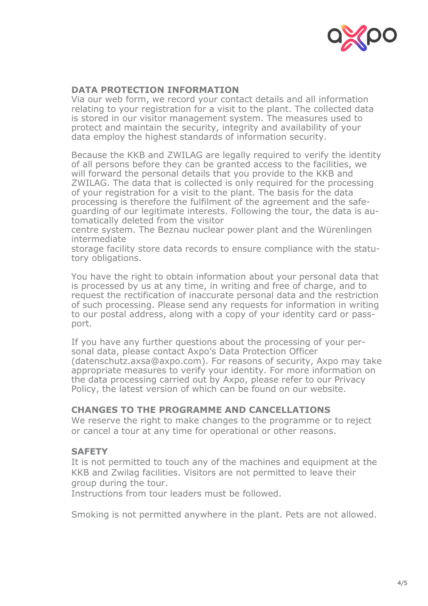

### **DATA PROTECTION INFORMATION**

Via our web form, we record your contact details and all information relating to your registration for a visit to the plant. The collected data is stored in our visitor management system. The measures used to protect and maintain the security, integrity and availability of your data employ the highest standards of information security.

Because the KKB and ZWILAG are legally required to verify the identity of all persons before they can be granted access to the facilities, we will forward the personal details that you provide to the KKB and ZWILAG. The data that is collected is only required for the processing of your registration for a visit to the plant. The basis for the data processing is therefore the fulfilment of the agreement and the safeguarding of our legitimate interests. Following the tour, the data is automatically deleted from the visitor

centre system. The Beznau nuclear power plant and the Würenlingen intermediate

storage facility store data records to ensure compliance with the statutory obligations.

You have the right to obtain information about your personal data that is processed by us at any time, in writing and free of charge, and to request the rectification of inaccurate personal data and the restriction of such processing. Please send any requests for information in writing to our postal address, along with a copy of your identity card or passport.

If you have any further questions about the processing of your personal data, please contact Axpo's Data Protection Officer (datenschutz.axsa@axpo.com). For reasons of security, Axpo may take appropriate measures to verify your identity. For more information on the data processing carried out by Axpo, please refer to our Privacy Policy, the latest version of which can be found on our website.

#### **CHANGES TO THE PROGRAMME AND CANCELLATIONS**

We reserve the right to make changes to the programme or to reject or cancel a tour at any time for operational or other reasons.

## **SAFETY**

It is not permitted to touch any of the machines and equipment at the KKB and Zwilag facilities. Visitors are not permitted to leave their group during the tour.

Instructions from tour leaders must be followed.

Smoking is not permitted anywhere in the plant. Pets are not allowed.